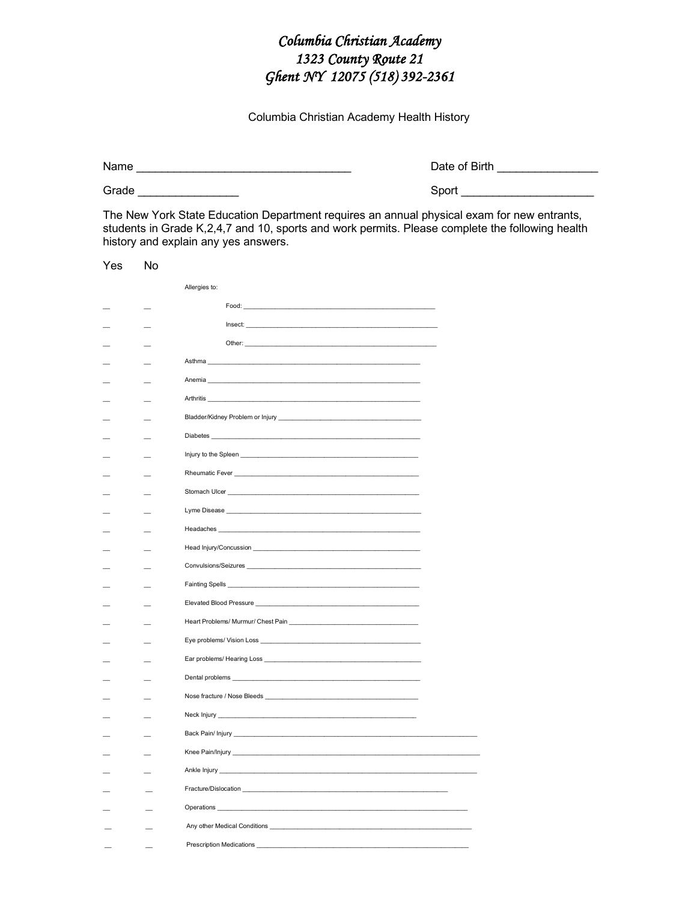## Columbia Christian Academy 1323 County Route 21 Ghent NY 12075 (518) 392-2361

Columbia Christian Academy Health History

Grade **Contract Contract Contract Contract Contract Contract Contract Contract Contract Contract Contract Contract Contract Contract Contract Contract Contract Contract Contract Contract Contract Contract Contract Contract** 

Date of Birth \_\_\_\_\_\_\_\_\_\_\_\_\_\_\_\_\_

Sport **Sport** 

The New York State Education Department requires an annual physical exam for new entrants, students in Grade K,2,4,7 and 10, sports and work permits. Please complete the following health history and explain any yes answers.

| Yes | No |                                                                                                                                                                                                                                     |
|-----|----|-------------------------------------------------------------------------------------------------------------------------------------------------------------------------------------------------------------------------------------|
|     |    | Allergies to:                                                                                                                                                                                                                       |
|     |    |                                                                                                                                                                                                                                     |
|     |    | Insect: the contract of the contract of the contract of the contract of the contract of the contract of the contract of the contract of the contract of the contract of the contract of the contract of the contract of the co      |
|     |    | Other:                                                                                                                                                                                                                              |
|     |    |                                                                                                                                                                                                                                     |
|     |    | Anemia 2008 - 2008 - 2010 - 2010 - 2010 - 2010 - 2010 - 2010 - 2010 - 2010 - 2010 - 2010 - 2010 - 2010 - 2010                                                                                                                       |
|     |    | Arthritis <b>Executive Service Services Contract Contract Contract Contract Contract Contract Contract Contract Contract Contract Contract Contract Contract Contract Contract Contract Contract Contract Contract Contract Co</b>  |
|     |    |                                                                                                                                                                                                                                     |
|     |    | Diabetes <b>Diabetes</b>                                                                                                                                                                                                            |
|     |    |                                                                                                                                                                                                                                     |
|     |    | Rheumatic Fever <b>Example 2018</b>                                                                                                                                                                                                 |
|     |    |                                                                                                                                                                                                                                     |
|     |    | Lyme Disease North American Control of the United States of the United States of the United States of the United States of the United States of the United States of the United States of the United States of the United Stat      |
|     |    | Headaches <b>Example 2018 Contract Contract Contract Contract Contract Contract Contract Contract Contract Contract Contract Contract Contract Contract Contract Contract Contract Contract Contract Contract Contract Contrac</b>  |
|     |    |                                                                                                                                                                                                                                     |
|     |    |                                                                                                                                                                                                                                     |
|     |    | Fainting Spells <b>Example 20</b> For the state of the state of the state of the state of the state of the state of the state of the state of the state of the state of the state of the state of the state of the state of the sta |
|     |    |                                                                                                                                                                                                                                     |
|     |    |                                                                                                                                                                                                                                     |
|     |    |                                                                                                                                                                                                                                     |
|     |    |                                                                                                                                                                                                                                     |
|     |    | Dental problems and the state of the state of the state of the state of the state of the state of the state of                                                                                                                      |
|     |    |                                                                                                                                                                                                                                     |
|     |    |                                                                                                                                                                                                                                     |
|     |    |                                                                                                                                                                                                                                     |
|     |    |                                                                                                                                                                                                                                     |
|     |    | Ankle Injury _                                                                                                                                                                                                                      |
|     |    | Fracture/Dislocation                                                                                                                                                                                                                |
|     |    |                                                                                                                                                                                                                                     |
|     |    | Any other Medical Conditions ________________                                                                                                                                                                                       |
|     |    | <b>Prescription Medications</b>                                                                                                                                                                                                     |